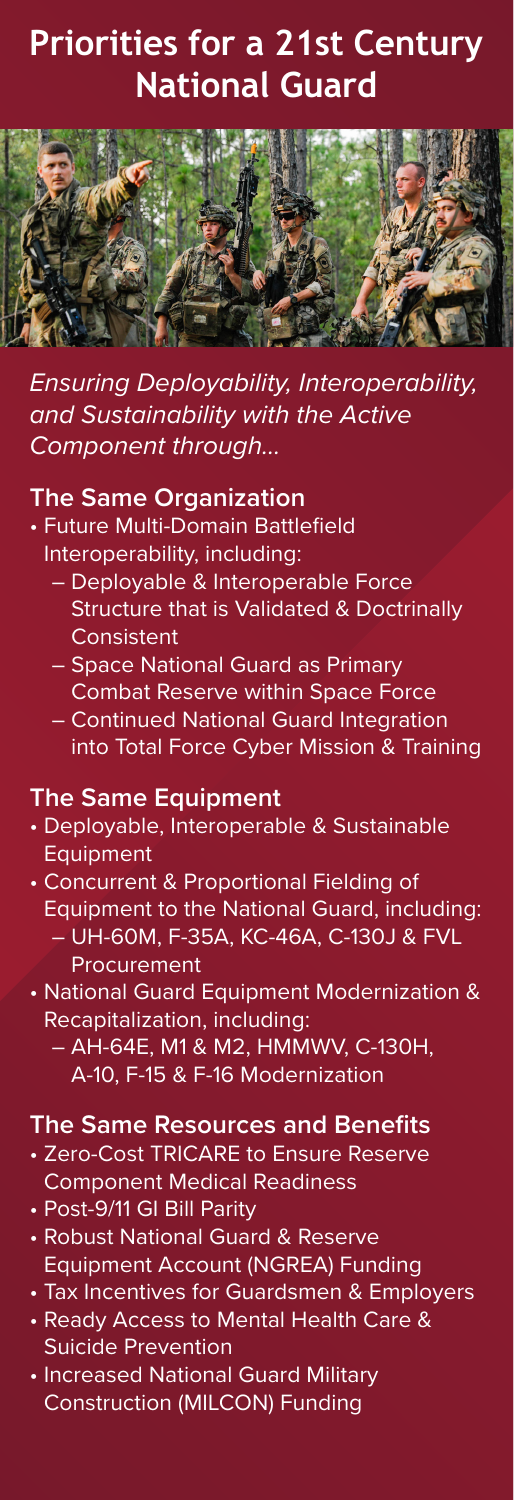# **Priorities for a 21st Century National Guard**



*Ensuring Deployability, Interoperability, and Sustainability with the Active Component through…*

## **The Same Organization**

- Future Multi-Domain Battlefield Interoperability, including:
	- Deployable & Interoperable Force Structure that is Validated & Doctrinally **Consistent**
	- Space National Guard as Primary Combat Reserve within Space Force
	- Continued National Guard Integration into Total Force Cyber Mission & Training

#### **The Same Equipment**

- Deployable, Interoperable & Sustainable **Equipment**
- Concurrent & Proportional Fielding of Equipment to the National Guard, including: – UH-60M, F-35A, KC-46A, C-130J & FVL Procurement
- National Guard Equipment Modernization & Recapitalization, including:
	- AH-64E, M1 & M2, HMMWV, C-130H, A-10, F-15 & F-16 Modernization

## **The Same Resources and Benefits**

- Zero-Cost TRICARE to Ensure Reserve Component Medical Readiness
- Post-9/11 GI Bill Parity
- Robust National Guard & Reserve Equipment Account (NGREA) Funding
- Tax Incentives for Guardsmen & Employers
- Ready Access to Mental Health Care & Suicide Prevention
- Increased National Guard Military Construction (MILCON) Funding